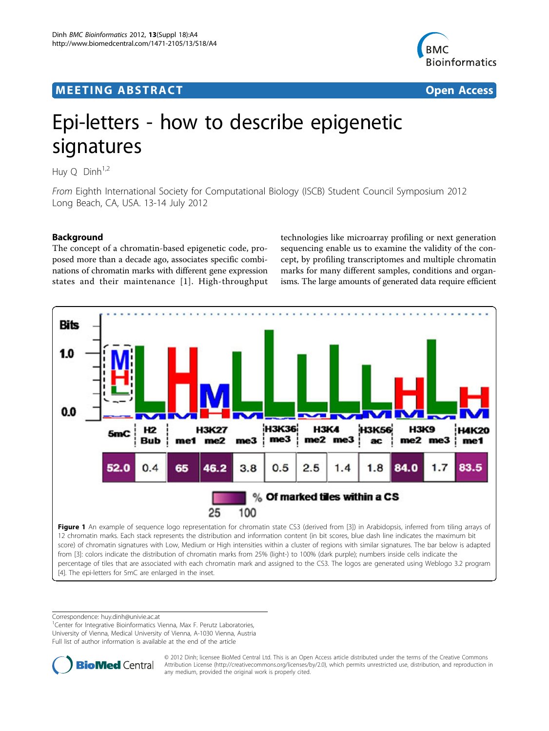# <span id="page-0-0"></span>**MEETING ABSTRACT CONSUMING ABSTRACT**



# Epi-letters - how to describe epigenetic signatures

Huy  $Q$  Dinh<sup>1,2</sup>

From Eighth International Society for Computational Biology (ISCB) Student Council Symposium 2012 Long Beach, CA, USA. 13-14 July 2012

# **Background**

The concept of a chromatin-based epigenetic code, proposed more than a decade ago, associates specific combinations of chromatin marks with different gene expression states and their maintenance [[1](#page-1-0)]. High-throughput technologies like microarray profiling or next generation sequencing enable us to examine the validity of the concept, by profiling transcriptomes and multiple chromatin marks for many different samples, conditions and organisms. The large amounts of generated data require efficient



percentage of tiles that are associated with each chromatin mark and assigned to the CS3. The logos are generated using Weblogo 3.2 program [\[4\]](#page-1-0). The epi-letters for 5mC are enlarged in the inset.

Correspondence: [huy.dinh@univie.ac.at](mailto:huy.dinh@univie.ac.at)

<sup>1</sup>Center for Integrative Bioinformatics Vienna, Max F. Perutz Laboratories, University of Vienna, Medical University of Vienna, A-1030 Vienna, Austria Full list of author information is available at the end of the article



© 2012 Dinh; licensee BioMed Central Ltd. This is an Open Access article distributed under the terms of the Creative Commons Attribution License [\(http://creativecommons.org/licenses/by/2.0](http://creativecommons.org/licenses/by/2.0)), which permits unrestricted use, distribution, and reproduction in any medium, provided the original work is properly cited.